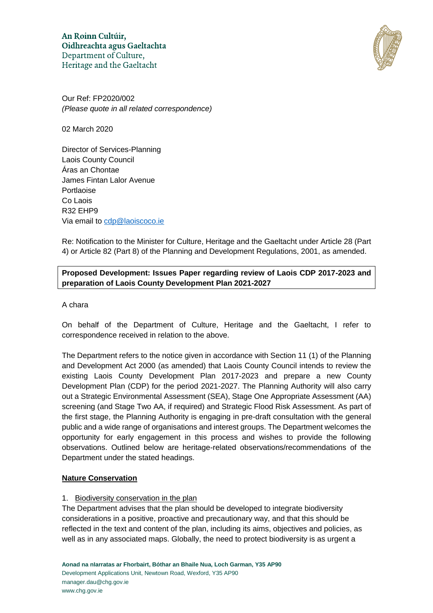

Our Ref: FP2020/002 *(Please quote in all related correspondence)*

02 March 2020

Director of Services-Planning Laois County Council Áras an Chontae James Fintan Lalor Avenue Portlaoise Co Laois R32 EHP9 Via email to cdp@laoiscoco.ie

Re: Notification to the Minister for Culture, Heritage and the Gaeltacht under Article 28 (Part 4) or Article 82 (Part 8) of the Planning and Development Regulations, 2001, as amended.

# **Proposed Development: Issues Paper regarding review of Laois CDP 2017-2023 and preparation of Laois County Development Plan 2021-2027**

### A chara

On behalf of the Department of Culture, Heritage and the Gaeltacht, I refer to correspondence received in relation to the above.

The Department refers to the notice given in accordance with Section 11 (1) of the Planning and Development Act 2000 (as amended) that Laois County Council intends to review the existing Laois County Development Plan 2017-2023 and prepare a new County Development Plan (CDP) for the period 2021-2027. The Planning Authority will also carry out a Strategic Environmental Assessment (SEA), Stage One Appropriate Assessment (AA) screening (and Stage Two AA, if required) and Strategic Flood Risk Assessment. As part of the first stage, the Planning Authority is engaging in pre-draft consultation with the general public and a wide range of organisations and interest groups. The Department welcomes the opportunity for early engagement in this process and wishes to provide the following observations. Outlined below are heritage-related observations/recommendations of the Department under the stated headings.

# **Nature Conservation**

# 1. Biodiversity conservation in the plan

The Department advises that the plan should be developed to integrate biodiversity considerations in a positive, proactive and precautionary way, and that this should be reflected in the text and content of the plan, including its aims, objectives and policies, as well as in any associated maps. Globally, the need to protect biodiversity is as urgent a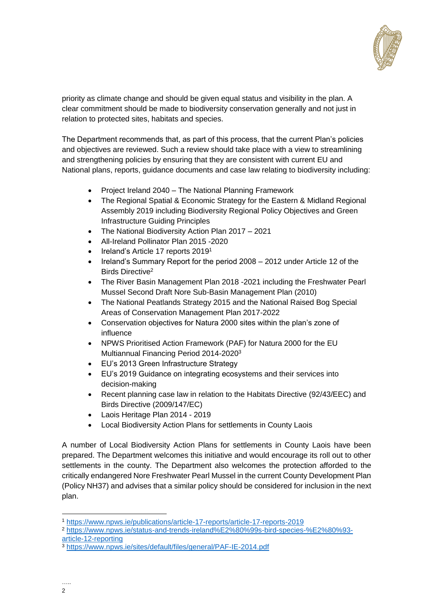

priority as climate change and should be given equal status and visibility in the plan. A clear commitment should be made to biodiversity conservation generally and not just in relation to protected sites, habitats and species.

The Department recommends that, as part of this process, that the current Plan's policies and objectives are reviewed. Such a review should take place with a view to streamlining and strengthening policies by ensuring that they are consistent with current EU and National plans, reports, guidance documents and case law relating to biodiversity including:

- Project Ireland 2040 The National Planning Framework
- The Regional Spatial & Economic Strategy for the Eastern & Midland Regional Assembly 2019 including Biodiversity Regional Policy Objectives and Green Infrastructure Guiding Principles
- The National Biodiversity Action Plan 2017 2021
- All-Ireland Pollinator Plan 2015 -2020
- $\bullet$  Ireland's Article 17 reports 2019<sup>1</sup>
- [Ireland's Summary Report for the period 2008 –](https://circabc.europa.eu/sd/a/a211d525-ff4d-44f5-a360-e82c6b4d3367/IE_A12NatSum_20141031.pdf) 2012 under Article 12 of the [Birds Directive](https://circabc.europa.eu/sd/a/a211d525-ff4d-44f5-a360-e82c6b4d3367/IE_A12NatSum_20141031.pdf)<sup>2</sup>
- The River Basin Management Plan 2018 -2021 including the Freshwater Pearl Mussel Second Draft Nore Sub‐Basin Management Plan (2010)
- The National Peatlands Strategy 2015 and the National Raised Bog Special Areas of Conservation Management Plan 2017-2022
- Conservation objectives for Natura 2000 sites within the plan's zone of influence
- NPWS Prioritised Action Framework (PAF) for Natura 2000 for the EU Multiannual Financing Period 2014-2020<sup>3</sup>
- EU's 2013 Green Infrastructure Strategy
- EU's 2019 Guidance on integrating ecosystems and their services into decision-making
- Recent planning case law in relation to the Habitats Directive (92/43/EEC) and Birds Directive (2009/147/EC)
- Laois Heritage Plan 2014 2019
- Local Biodiversity Action Plans for settlements in County Laois

A number of Local Biodiversity Action Plans for settlements in County Laois have been prepared. The Department welcomes this initiative and would encourage its roll out to other settlements in the county. The Department also welcomes the protection afforded to the critically endangered Nore Freshwater Pearl Mussel in the current County Development Plan (Policy NH37) and advises that a similar policy should be considered for inclusion in the next plan.

<sup>1</sup> <https://www.npws.ie/publications/article-17-reports/article-17-reports-2019>

<sup>2</sup> [https://www.npws.ie/status-and-trends-ireland%E2%80%99s-bird-species-%E2%80%93](https://www.npws.ie/status-and-trends-ireland%E2%80%99s-bird-species-%E2%80%93-article-12-reporting) [article-12-reporting](https://www.npws.ie/status-and-trends-ireland%E2%80%99s-bird-species-%E2%80%93-article-12-reporting)

<sup>3</sup> <https://www.npws.ie/sites/default/files/general/PAF-IE-2014.pdf>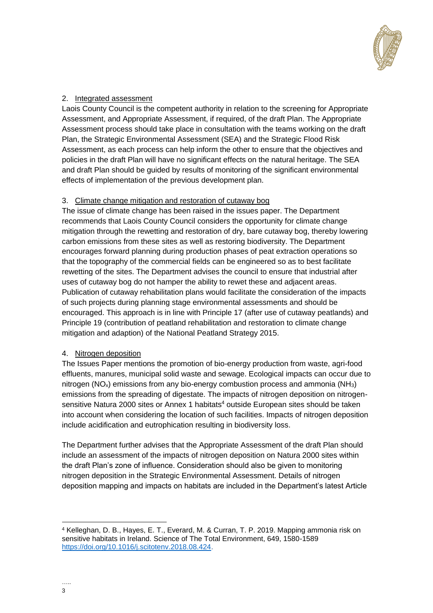

### 2. Integrated assessment

Laois County Council is the competent authority in relation to the screening for Appropriate Assessment, and Appropriate Assessment, if required, of the draft Plan. The Appropriate Assessment process should take place in consultation with the teams working on the draft Plan, the Strategic Environmental Assessment (SEA) and the Strategic Flood Risk Assessment, as each process can help inform the other to ensure that the objectives and policies in the draft Plan will have no significant effects on the natural heritage. The SEA and draft Plan should be guided by results of monitoring of the significant environmental effects of implementation of the previous development plan.

### 3. Climate change mitigation and restoration of cutaway bog

The issue of climate change has been raised in the issues paper. The Department recommends that Laois County Council considers the opportunity for climate change mitigation through the rewetting and restoration of dry, bare cutaway bog, thereby lowering carbon emissions from these sites as well as restoring biodiversity. The Department encourages forward planning during production phases of peat extraction operations so that the topography of the commercial fields can be engineered so as to best facilitate rewetting of the sites. The Department advises the council to ensure that industrial after uses of cutaway bog do not hamper the ability to rewet these and adjacent areas. Publication of cutaway rehabilitation plans would facilitate the consideration of the impacts of such projects during planning stage environmental assessments and should be encouraged. This approach is in line with Principle 17 (after use of cutaway peatlands) and Principle 19 (contribution of peatland rehabilitation and restoration to climate change mitigation and adaption) of the National Peatland Strategy 2015.

### 4. Nitrogen deposition

The Issues Paper mentions the promotion of bio-energy production from waste, agri-food effluents, manures, municipal solid waste and sewage. Ecological impacts can occur due to nitrogen ( $NO<sub>x</sub>$ ) emissions from any bio-energy combustion process and ammonia ( $NH<sub>3</sub>$ ) emissions from the spreading of digestate. The impacts of nitrogen deposition on nitrogensensitive Natura 2000 sites or Annex 1 habitats<sup>4</sup> outside European sites should be taken into account when considering the location of such facilities. Impacts of nitrogen deposition include acidification and eutrophication resulting in biodiversity loss.

The Department further advises that the Appropriate Assessment of the draft Plan should include an assessment of the impacts of nitrogen deposition on Natura 2000 sites within the draft Plan's zone of influence. Consideration should also be given to monitoring nitrogen deposition in the Strategic Environmental Assessment. Details of nitrogen deposition mapping and impacts on habitats are included in the Department's latest Article

<sup>4</sup> Kelleghan, D. B., Hayes, E. T., Everard, M. & Curran, T. P. 2019. Mapping ammonia risk on sensitive habitats in Ireland. Science of The Total Environment, 649, 1580-1589 [https://doi.org/10.1016/j.scitotenv.2018.08.424.](https://doi.org/10.1016/j.scitotenv.2018.08.424)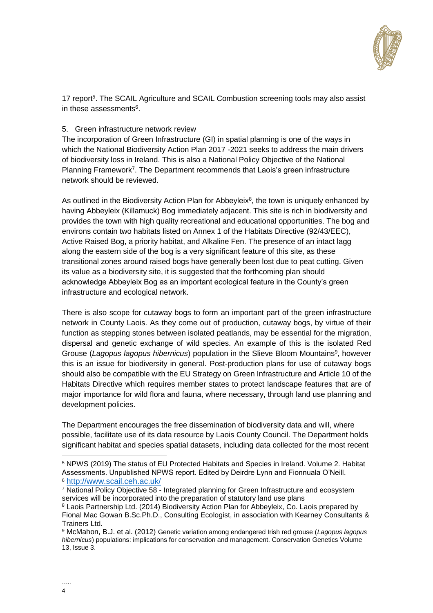

17 report<sup>5</sup>. The SCAIL Agriculture and SCAIL Combustion screening tools may also assist in these assessments<sup>6</sup>.

### 5. Green infrastructure network review

The incorporation of Green Infrastructure (GI) in spatial planning is one of the ways in which the National Biodiversity Action Plan 2017 -2021 seeks to address the main drivers of biodiversity loss in Ireland. This is also a National Policy Objective of the National Planning Framework<sup>7</sup>. The Department recommends that Laois's green infrastructure network should be reviewed.

As outlined in the Biodiversity Action Plan for Abbeyleix<sup>8</sup>, the town is uniquely enhanced by having Abbeyleix (Killamuck) Bog immediately adjacent. This site is rich in biodiversity and provides the town with high quality recreational and educational opportunities. The bog and environs contain two habitats listed on Annex 1 of the Habitats Directive (92/43/EEC), Active Raised Bog, a priority habitat, and Alkaline Fen. The presence of an intact lagg along the eastern side of the bog is a very significant feature of this site, as these transitional zones around raised bogs have generally been lost due to peat cutting. Given its value as a biodiversity site, it is suggested that the forthcoming plan should acknowledge Abbeyleix Bog as an important ecological feature in the County's green infrastructure and ecological network.

There is also scope for cutaway bogs to form an important part of the green infrastructure network in County Laois. As they come out of production, cutaway bogs, by virtue of their function as stepping stones between isolated peatlands, may be essential for the migration, dispersal and genetic exchange of wild species. An example of this is the isolated Red Grouse (Lagopus lagopus hibernicus) population in the Slieve Bloom Mountains<sup>9</sup>, however this is an issue for biodiversity in general. Post-production plans for use of cutaway bogs should also be compatible with the EU Strategy on Green Infrastructure and Article 10 of the Habitats Directive which requires member states to protect landscape features that are of major importance for wild flora and fauna, where necessary, through land use planning and development policies.

The Department encourages the free dissemination of biodiversity data and will, where possible, facilitate use of its data resource by Laois County Council. The Department holds significant habitat and species spatial datasets, including data collected for the most recent

<sup>5</sup> NPWS (2019) The status of EU Protected Habitats and Species in Ireland. Volume 2. Habitat Assessments. Unpublished NPWS report. Edited by Deirdre Lynn and Fionnuala O'Neill. <sup>6</sup> <http://www.scail.ceh.ac.uk/>

<sup>&</sup>lt;sup>7</sup> National Policy Objective 58 - Integrated planning for Green Infrastructure and ecosystem services will be incorporated into the preparation of statutory land use plans

<sup>8</sup> Laois Partnership Ltd. (2014) Biodiversity Action Plan for Abbeyleix, Co. Laois prepared by Fional Mac Gowan B.Sc.Ph.D., Consulting Ecologist, in association with Kearney Consultants & Trainers Ltd.

<sup>9</sup> McMahon, B.J. et al. (2012) Genetic variation among endangered Irish red grouse (*Lagopus lagopus hibernicus*) populations: implications for conservation and management. Conservation Genetics Volume 13, Issue 3.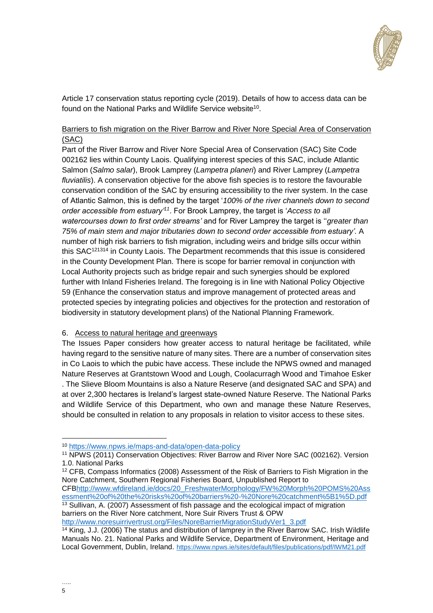

Article 17 conservation status reporting cycle (2019). Details of how to access data can be found on the National Parks and Wildlife Service website<sup>10</sup>.

### Barriers to fish migration on the River Barrow and River Nore Special Area of Conservation (SAC)

Part of the River Barrow and River Nore Special Area of Conservation (SAC) Site Code 002162 lies within County Laois. Qualifying interest species of this SAC, include Atlantic Salmon (*Salmo salar*), Brook Lamprey (*Lampetra planeri*) and River Lamprey (*Lampetra fluviatilis*). A conservation objective for the above fish species is to restore the favourable conservation condition of the SAC by ensuring accessibility to the river system. In the case of Atlantic Salmon, this is defined by the target '*100% of the river channels down to second*  order accessible from estuary<sup>'11</sup>. For Brook Lamprey, the target is '*Access to all watercourses down to first order streams'* and for River Lamprey the target is ''*greater than 75% of main stem and major tributaries down to second order accessible from estuary'.* A number of high risk barriers to fish migration, including weirs and bridge sills occur within this SAC<sup>121314</sup> in County Laois. The Department recommends that this issue is considered in the County Development Plan. There is scope for barrier removal in conjunction with Local Authority projects such as bridge repair and such synergies should be explored further with Inland Fisheries Ireland. The foregoing is in line with National Policy Objective 59 (Enhance the conservation status and improve management of protected areas and protected species by integrating policies and objectives for the protection and restoration of biodiversity in statutory development plans) of the National Planning Framework.

#### 6. Access to natural heritage and greenways

The Issues Paper considers how greater access to natural heritage be facilitated, while having regard to the sensitive nature of many sites. There are a number of conservation sites in Co Laois to which the pubic have access. These include the NPWS owned and managed Nature Reserves at Grantstown Wood and Lough, Coolacurragh Wood and Timahoe Esker . The Slieve Bloom Mountains is also a Nature Reserve (and designated SAC and SPA) and at over 2,300 hectares is Ireland's largest state-owned Nature Reserve. The National Parks and Wildlife Service of this Department, who own and manage these Nature Reserves, should be consulted in relation to any proposals in relation to visitor access to these sites.

<sup>12</sup> CFB, Compass Informatics (2008) Assessment of the Risk of Barriers to Fish Migration in the Nore Catchment, Southern Regional Fisheries Board, Unpublished Report to

CF[Bhttp://www.wfdireland.ie/docs/20\\_FreshwaterMorphology/FW%20Morph%20POMS%20Ass](http://www.wfdireland.ie/docs/20_FreshwaterMorphology/FW%20Morph%20POMS%20Assessment%20of%20the%20risks%20of%20barriers%20-%20Nore%20catchment%5B1%5D.pdf) [essment%20of%20the%20risks%20of%20barriers%20-%20Nore%20catchment%5B1%5D.pdf](http://www.wfdireland.ie/docs/20_FreshwaterMorphology/FW%20Morph%20POMS%20Assessment%20of%20the%20risks%20of%20barriers%20-%20Nore%20catchment%5B1%5D.pdf) <sup>13</sup> Sullivan, A. (2007) Assessment of fish passage and the ecological impact of migration barriers on the River Nore catchment, Nore Suir Rivers Trust & OPW

[http://www.noresuirrivertrust.org/Files/NoreBarrierMigrationStudyVer1\\_3.pdf](http://www.noresuirrivertrust.org/Files/NoreBarrierMigrationStudyVer1_3.pdf)

<u>.</u>

<sup>10</sup> <https://www.npws.ie/maps-and-data/open-data-policy>

<sup>11</sup> NPWS (2011) Conservation Objectives: River Barrow and River Nore SAC (002162). Version 1.0. National Parks

<sup>&</sup>lt;sup>14</sup> King, J.J. (2006) The status and distribution of lamprey in the River Barrow SAC. Irish Wildlife Manuals No. 21. National Parks and Wildlife Service, Department of Environment, Heritage and Local Government, Dublin, Ireland. <https://www.npws.ie/sites/default/files/publications/pdf/IWM21.pdf>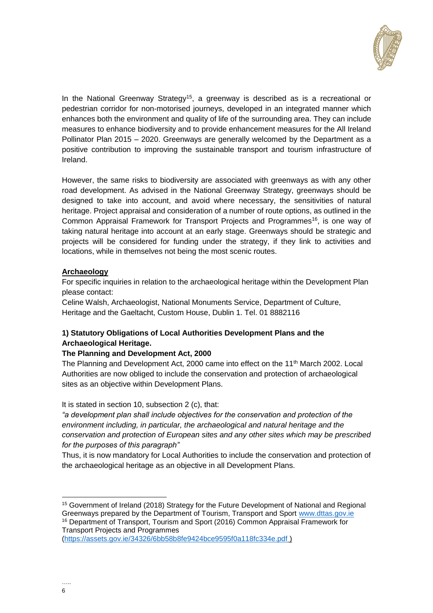

In the National Greenway Strategy<sup>15</sup>, a greenway is described as is a recreational or pedestrian corridor for non-motorised journeys, developed in an integrated manner which enhances both the environment and quality of life of the surrounding area. They can include measures to enhance biodiversity and to provide enhancement measures for the All Ireland Pollinator Plan 2015 – 2020. Greenways are generally welcomed by the Department as a positive contribution to improving the sustainable transport and tourism infrastructure of Ireland.

However, the same risks to biodiversity are associated with greenways as with any other road development. As advised in the National Greenway Strategy, greenways should be designed to take into account, and avoid where necessary, the sensitivities of natural heritage. Project appraisal and consideration of a number of route options, as outlined in the Common Appraisal Framework for Transport Projects and Programmes<sup>16</sup>, is one way of taking natural heritage into account at an early stage. Greenways should be strategic and projects will be considered for funding under the strategy, if they link to activities and locations, while in themselves not being the most scenic routes.

### **Archaeology**

For specific inquiries in relation to the archaeological heritage within the Development Plan please contact:

Celine Walsh, Archaeologist, National Monuments Service, Department of Culture, Heritage and the Gaeltacht, Custom House, Dublin 1. Tel. 01 8882116

# **1) Statutory Obligations of Local Authorities Development Plans and the Archaeological Heritage.**

### **The Planning and Development Act, 2000**

The Planning and Development Act, 2000 came into effect on the  $11<sup>th</sup>$  March 2002. Local Authorities are now obliged to include the conservation and protection of archaeological sites as an objective within Development Plans.

It is stated in section 10, subsection 2 (c), that:

*"a development plan shall include objectives for the conservation and protection of the environment including, in particular, the archaeological and natural heritage and the conservation and protection of European sites and any other sites which may be prescribed for the purposes of this paragraph"*

Thus, it is now mandatory for Local Authorities to include the conservation and protection of the archaeological heritage as an objective in all Development Plans.

Transport Projects and Programmes

<sup>&</sup>lt;sup>15</sup> Government of Ireland (2018) Strategy for the Future Development of National and Regional Greenways prepared by the Department of Tourism, Transport and Sport [www.dttas.gov.ie](http://www.dttas.gov.ie/) <sup>16</sup> Department of Transport, Tourism and Sport (2016) Common Appraisal Framework for

[<sup>\(</sup>https://assets.gov.ie/34326/6bb58b8fe9424bce9595f0a118fc334e.pdf](https://assets.gov.ie/34326/6bb58b8fe9424bce9595f0a118fc334e.pdf) )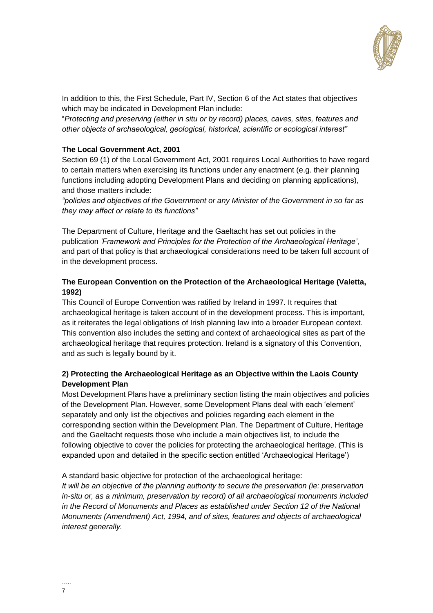

In addition to this, the First Schedule, Part IV, Section 6 of the Act states that objectives which may be indicated in Development Plan include:

"*Protecting and preserving (either in situ or by record) places, caves, sites, features and other objects of archaeological, geological, historical, scientific or ecological interest"*

### **The Local Government Act, 2001**

Section 69 (1) of the Local Government Act, 2001 requires Local Authorities to have regard to certain matters when exercising its functions under any enactment (e.g. their planning functions including adopting Development Plans and deciding on planning applications), and those matters include:

*"policies and objectives of the Government or any Minister of the Government in so far as they may affect or relate to its functions"*

The Department of Culture, Heritage and the Gaeltacht has set out policies in the publication *'Framework and Principles for the Protection of the Archaeological Heritage'*, and part of that policy is that archaeological considerations need to be taken full account of in the development process.

### **The European Convention on the Protection of the Archaeological Heritage (Valetta, 1992)**

This Council of Europe Convention was ratified by Ireland in 1997. It requires that archaeological heritage is taken account of in the development process. This is important, as it reiterates the legal obligations of Irish planning law into a broader European context. This convention also includes the setting and context of archaeological sites as part of the archaeological heritage that requires protection. Ireland is a signatory of this Convention, and as such is legally bound by it.

### **2) Protecting the Archaeological Heritage as an Objective within the Laois County Development Plan**

Most Development Plans have a preliminary section listing the main objectives and policies of the Development Plan. However, some Development Plans deal with each 'element' separately and only list the objectives and policies regarding each element in the corresponding section within the Development Plan. The Department of Culture, Heritage and the Gaeltacht requests those who include a main objectives list, to include the following objective to cover the policies for protecting the archaeological heritage. (This is expanded upon and detailed in the specific section entitled 'Archaeological Heritage')

A standard basic objective for protection of the archaeological heritage: *It will be an objective of the planning authority to secure the preservation (ie: preservation in-situ or, as a minimum, preservation by record) of all archaeological monuments included in the Record of Monuments and Places as established under Section 12 of the National Monuments (Amendment) Act, 1994, and of sites, features and objects of archaeological interest generally.*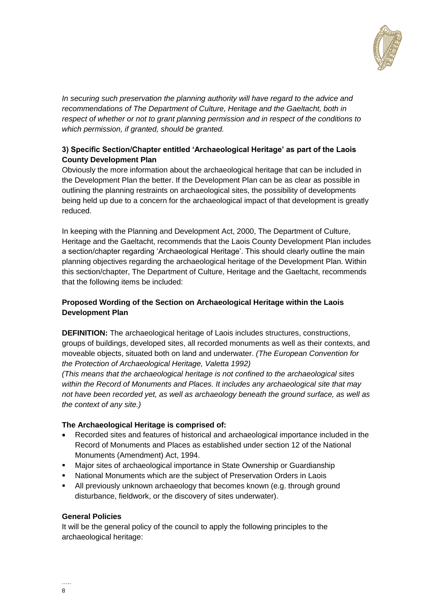

*In securing such preservation the planning authority will have regard to the advice and recommendations of The Department of Culture, Heritage and the Gaeltacht, both in respect of whether or not to grant planning permission and in respect of the conditions to which permission, if granted, should be granted.*

# **3) Specific Section/Chapter entitled 'Archaeological Heritage' as part of the Laois County Development Plan**

Obviously the more information about the archaeological heritage that can be included in the Development Plan the better. If the Development Plan can be as clear as possible in outlining the planning restraints on archaeological sites, the possibility of developments being held up due to a concern for the archaeological impact of that development is greatly reduced.

In keeping with the Planning and Development Act, 2000, The Department of Culture, Heritage and the Gaeltacht, recommends that the Laois County Development Plan includes a section/chapter regarding 'Archaeological Heritage'. This should clearly outline the main planning objectives regarding the archaeological heritage of the Development Plan. Within this section/chapter, The Department of Culture, Heritage and the Gaeltacht, recommends that the following items be included:

# **Proposed Wording of the Section on Archaeological Heritage within the Laois Development Plan**

**DEFINITION:** The archaeological heritage of Laois includes structures, constructions, groups of buildings, developed sites, all recorded monuments as well as their contexts, and moveable objects, situated both on land and underwater. *(The European Convention for the Protection of Archaeological Heritage, Valetta 1992)*

*(This means that the archaeological heritage is not confined to the archaeological sites within the Record of Monuments and Places. It includes any archaeological site that may not have been recorded yet, as well as archaeology beneath the ground surface, as well as the context of any site.)* 

# **The Archaeological Heritage is comprised of:**

- Recorded sites and features of historical and archaeological importance included in the Record of Monuments and Places as established under section 12 of the National Monuments (Amendment) Act, 1994.
- Major sites of archaeological importance in State Ownership or Guardianship
- National Monuments which are the subject of Preservation Orders in Laois
- All previously unknown archaeology that becomes known (e.g. through ground disturbance, fieldwork, or the discovery of sites underwater).

### **General Policies**

It will be the general policy of the council to apply the following principles to the archaeological heritage: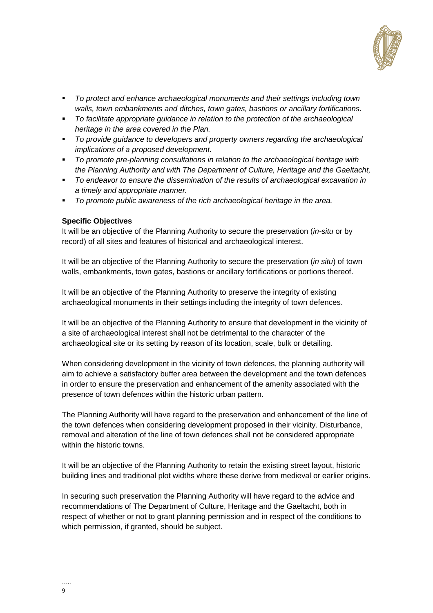

- *To protect and enhance archaeological monuments and their settings including town walls, town embankments and ditches, town gates, bastions or ancillary fortifications.*
- *To facilitate appropriate guidance in relation to the protection of the archaeological heritage in the area covered in the Plan.*
- *To provide guidance to developers and property owners regarding the archaeological implications of a proposed development.*
- *To promote pre-planning consultations in relation to the archaeological heritage with the Planning Authority and with The Department of Culture, Heritage and the Gaeltacht,*
- *To endeavor to ensure the dissemination of the results of archaeological excavation in a timely and appropriate manner.*
- *To promote public awareness of the rich archaeological heritage in the area.*

#### **Specific Objectives**

It will be an objective of the Planning Authority to secure the preservation (*in-situ* or by record) of all sites and features of historical and archaeological interest.

It will be an objective of the Planning Authority to secure the preservation (*in situ*) of town walls, embankments, town gates, bastions or ancillary fortifications or portions thereof.

It will be an objective of the Planning Authority to preserve the integrity of existing archaeological monuments in their settings including the integrity of town defences.

It will be an objective of the Planning Authority to ensure that development in the vicinity of a site of archaeological interest shall not be detrimental to the character of the archaeological site or its setting by reason of its location, scale, bulk or detailing.

When considering development in the vicinity of town defences, the planning authority will aim to achieve a satisfactory buffer area between the development and the town defences in order to ensure the preservation and enhancement of the amenity associated with the presence of town defences within the historic urban pattern.

The Planning Authority will have regard to the preservation and enhancement of the line of the town defences when considering development proposed in their vicinity. Disturbance, removal and alteration of the line of town defences shall not be considered appropriate within the historic towns.

It will be an objective of the Planning Authority to retain the existing street layout, historic building lines and traditional plot widths where these derive from medieval or earlier origins.

In securing such preservation the Planning Authority will have regard to the advice and recommendations of The Department of Culture, Heritage and the Gaeltacht, both in respect of whether or not to grant planning permission and in respect of the conditions to which permission, if granted, should be subject.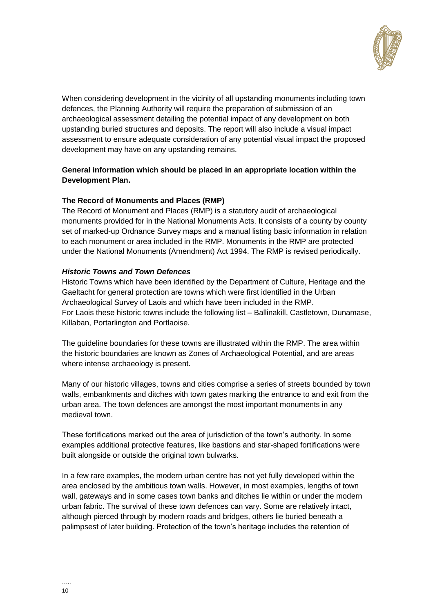

When considering development in the vicinity of all upstanding monuments including town defences, the Planning Authority will require the preparation of submission of an archaeological assessment detailing the potential impact of any development on both upstanding buried structures and deposits. The report will also include a visual impact assessment to ensure adequate consideration of any potential visual impact the proposed development may have on any upstanding remains.

### **General information which should be placed in an appropriate location within the Development Plan.**

### **The Record of Monuments and Places (RMP)**

The Record of Monument and Places (RMP) is a statutory audit of archaeological monuments provided for in the National Monuments Acts. It consists of a county by county set of marked-up Ordnance Survey maps and a manual listing basic information in relation to each monument or area included in the RMP. Monuments in the RMP are protected under the National Monuments (Amendment) Act 1994. The RMP is revised periodically.

### *Historic Towns and Town Defences*

Historic Towns which have been identified by the Department of Culture, Heritage and the Gaeltacht for general protection are towns which were first identified in the Urban Archaeological Survey of Laois and which have been included in the RMP. For Laois these historic towns include the following list – Ballinakill, Castletown, Dunamase, Killaban, Portarlington and Portlaoise.

The guideline boundaries for these towns are illustrated within the RMP. The area within the historic boundaries are known as Zones of Archaeological Potential, and are areas where intense archaeology is present.

Many of our historic villages, towns and cities comprise a series of streets bounded by town walls, embankments and ditches with town gates marking the entrance to and exit from the urban area. The town defences are amongst the most important monuments in any medieval town.

These fortifications marked out the area of jurisdiction of the town's authority. In some examples additional protective features, like bastions and star-shaped fortifications were built alongside or outside the original town bulwarks.

In a few rare examples, the modern urban centre has not yet fully developed within the area enclosed by the ambitious town walls. However, in most examples, lengths of town wall, gateways and in some cases town banks and ditches lie within or under the modern urban fabric. The survival of these town defences can vary. Some are relatively intact, although pierced through by modern roads and bridges, others lie buried beneath a palimpsest of later building. Protection of the town's heritage includes the retention of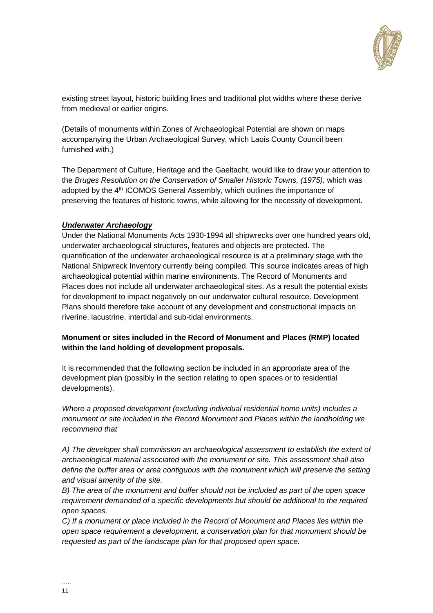

existing street layout, historic building lines and traditional plot widths where these derive from medieval or earlier origins.

(Details of monuments within Zones of Archaeological Potential are shown on maps accompanying the Urban Archaeological Survey, which Laois County Council been furnished with.)

The Department of Culture, Heritage and the Gaeltacht, would like to draw your attention to the *Bruges Resolution on the Conservation of Smaller Historic Towns, (1975),* which was adopted by the 4<sup>th</sup> ICOMOS General Assembly, which outlines the importance of preserving the features of historic towns, while allowing for the necessity of development.

#### *Underwater Archaeology*

Under the National Monuments Acts 1930-1994 all shipwrecks over one hundred years old, underwater archaeological structures, features and objects are protected. The quantification of the underwater archaeological resource is at a preliminary stage with the National Shipwreck Inventory currently being compiled. This source indicates areas of high archaeological potential within marine environments. The Record of Monuments and Places does not include all underwater archaeological sites. As a result the potential exists for development to impact negatively on our underwater cultural resource. Development Plans should therefore take account of any development and constructional impacts on riverine, lacustrine, intertidal and sub-tidal environments.

### **Monument or sites included in the Record of Monument and Places (RMP) located within the land holding of development proposals.**

It is recommended that the following section be included in an appropriate area of the development plan (possibly in the section relating to open spaces or to residential developments).

*Where a proposed development (excluding individual residential home units) includes a monument or site included in the Record Monument and Places within the landholding we recommend that*

*A) The developer shall commission an archaeological assessment to establish the extent of archaeological material associated with the monument or site. This assessment shall also define the buffer area or area contiguous with the monument which will preserve the setting and visual amenity of the site.*

*B) The area of the monument and buffer should not be included as part of the open space requirement demanded of a specific developments but should be additional to the required open spaces.*

*C) If a monument or place included in the Record of Monument and Places lies within the open space requirement a development, a conservation plan for that monument should be requested as part of the landscape plan for that proposed open space.*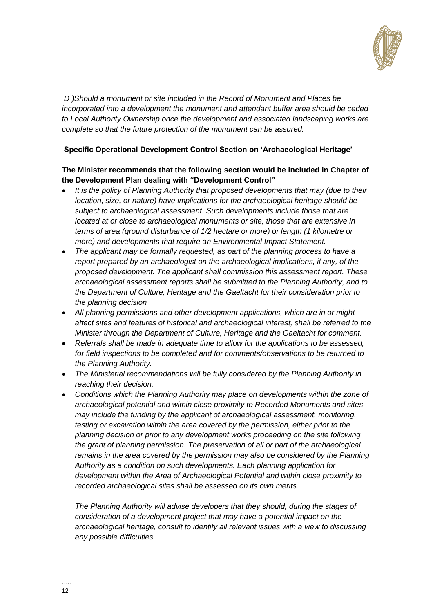

*D )Should a monument or site included in the Record of Monument and Places be incorporated into a development the monument and attendant buffer area should be ceded to Local Authority Ownership once the development and associated landscaping works are complete so that the future protection of the monument can be assured.*

### **Specific Operational Development Control Section on 'Archaeological Heritage'**

### **The Minister recommends that the following section would be included in Chapter of the Development Plan dealing with "Development Control"**

- *It is the policy of Planning Authority that proposed developments that may (due to their location, size, or nature) have implications for the archaeological heritage should be subject to archaeological assessment. Such developments include those that are located at or close to archaeological monuments or site, those that are extensive in terms of area (ground disturbance of 1/2 hectare or more) or length (1 kilometre or more) and developments that require an Environmental Impact Statement.*
- *The applicant may be formally requested, as part of the planning process to have a report prepared by an archaeologist on the archaeological implications, if any, of the proposed development. The applicant shall commission this assessment report. These archaeological assessment reports shall be submitted to the Planning Authority, and to the Department of Culture, Heritage and the Gaeltacht for their consideration prior to the planning decision*
- *All planning permissions and other development applications, which are in or might affect sites and features of historical and archaeological interest, shall be referred to the Minister through the Department of Culture, Heritage and the Gaeltacht for comment.*
- *Referrals shall be made in adequate time to allow for the applications to be assessed, for field inspections to be completed and for comments/observations to be returned to the Planning Authority.*
- *The Ministerial recommendations will be fully considered by the Planning Authority in reaching their decision.*
- Conditions which the Planning Authority may place on developments within the zone of *archaeological potential and within close proximity to Recorded Monuments and sites may include the funding by the applicant of archaeological assessment, monitoring, testing or excavation within the area covered by the permission, either prior to the planning decision or prior to any development works proceeding on the site following the grant of planning permission. The preservation of all or part of the archaeological remains in the area covered by the permission may also be considered by the Planning Authority as a condition on such developments. Each planning application for development within the Area of Archaeological Potential and within close proximity to recorded archaeological sites shall be assessed on its own merits.*

*The Planning Authority will advise developers that they should, during the stages of consideration of a development project that may have a potential impact on the archaeological heritage, consult to identify all relevant issues with a view to discussing any possible difficulties.*